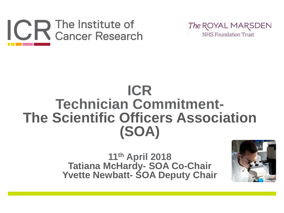



#### **ICR Technician Commitment-The Scientific Officers Association (SOA)**

**11th April 2018 Tatiana McHardy- SOA Co-Chair Yvette Newbatt- SOA Deputy Chair**

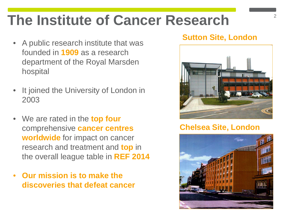### **The Institute of Cancer Research**

- A public research institute that was founded in **1909** as a research department of the Royal Marsden hospital
- It joined the University of London in 2003
- We are rated in the **top four**  comprehensive **cancer centres worldwide** for impact on cancer research and treatment and **top** in the overall league table in **REF 2014**
- **Our mission is to make the discoveries that defeat cancer**

#### **Sutton Site, London**



#### **Chelsea Site, London**

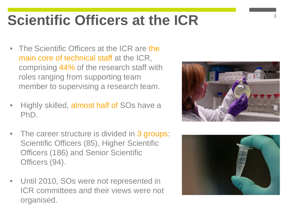### **Scientific Officers at the ICR**

- The Scientific Officers at the ICR are the main core of technical staff at the ICR, comprising 44% of the research staff with roles ranging from supporting team member to supervising a research team.
- Highly skilled, almost half of SOs have a PhD.
- The career structure is divided in 3 groups: Scientific Officers (85), Higher Scientific Officers (186) and Senior Scientific Officers (94).
- Until 2010, SOs were not represented in ICR committees and their views were not organised.



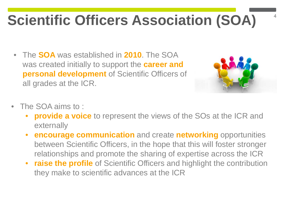## **Scientific Officers Association (SOA)**

• The **SOA** was established in **2010**. The SOA was created initially to support the **career and personal development** of Scientific Officers of all grades at the ICR.



- The SOA aims to :
	- **provide a voice** to represent the views of the SOs at the ICR and externally
	- **encourage communication** and create **networking** opportunities between Scientific Officers, in the hope that this will foster stronger relationships and promote the sharing of expertise across the ICR
	- **raise the profile** of Scientific Officers and highlight the contribution they make to scientific advances at the ICR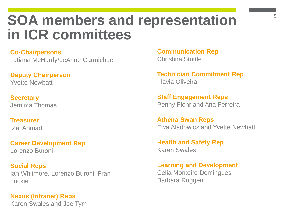#### **SOA members and representation in ICR committees**

#### **Co-Chairpersons**

Tatiana McHardy/LeAnne Carmichael

**Deputy Chairperson** Yvette Newbatt

**Secretary** Jemima Thomas

**Treasurer** Zai Ahmad

**Career Development Rep** Lorenzo Buroni

**Social Reps** Ian Whitmore, Lorenzo Buroni, Fran Lockie

**Nexus (Intranet) Reps**  Karen Swales and Joe Tym **Communication Rep** Christine Stuttle

**Technician Commitment Rep** Flavia Oliveira

**Staff Engagement Reps** Penny Flohr and Ana Ferreira

**Athena Swan Reps** Ewa Aladowicz and Yvette Newbatt

**Health and Safety Rep** Karen Swales

**Learning and Development** Celia Monteiro Domingues Barbara Ruggeri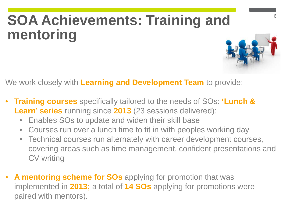## **SOA Achievements: Training and mentoring**

We work closely with **Learning and Development Team** to provide:

- **Training courses** specifically tailored to the needs of SOs: **'Lunch & Learn' series** running since **2013** (23 sessions delivered):
	- Enables SOs to update and widen their skill base
	- Courses run over a lunch time to fit in with peoples working day
	- Technical courses run alternately with career development courses, covering areas such as time management, confident presentations and CV writing
- **A mentoring scheme for SOs** applying for promotion that was implemented in **2013;** a total of **14 SOs** applying for promotions were paired with mentors).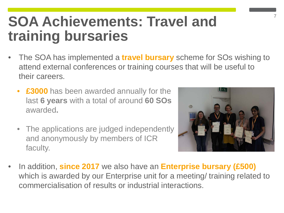#### **SOA Achievements: Travel and training bursaries**

- The SOA has implemented a **travel bursary** scheme for SOs wishing to attend external conferences or training courses that will be useful to their careers.
	- **£3000** has been awarded annually for the last **6 years** with a total of around **60 SOs**  awarded**.**
	- The applications are judged independently and anonymously by members of ICR faculty.



• In addition, **since 2017** we also have an **Enterprise bursary (£500)**  which is awarded by our Enterprise unit for a meeting/ training related to commercialisation of results or industrial interactions.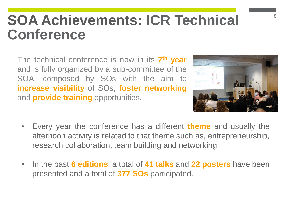#### **SOA Achievements: ICR Technical Conference**

The technical conference is now in its **7th year** and is fully organized by a sub-committee of the SOA, composed by SOs with the aim to **increase visibility** of SOs, **foster networking** and **provide training** opportunities.



- Every year the conference has a different **theme** and usually the afternoon activity is related to that theme such as, entrepreneurship, research collaboration, team building and networking.
- In the past **6 editions**, a total of **41 talks** and **22 posters** have been presented and a total of **377 SOs** participated.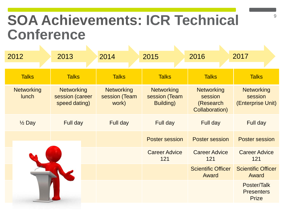#### **SOA Achievements: ICR Technical Conference**

| 2012                              | 2013                                                  | 2014                                        | 2015                                                    | 2016                                                        | 2017                                              |
|-----------------------------------|-------------------------------------------------------|---------------------------------------------|---------------------------------------------------------|-------------------------------------------------------------|---------------------------------------------------|
|                                   |                                                       |                                             |                                                         |                                                             |                                                   |
| <b>Talks</b>                      | <b>Talks</b>                                          | <b>Talks</b>                                | <b>Talks</b>                                            | <b>Talks</b>                                                | <b>Talks</b>                                      |
| <b>Networking</b><br><b>lunch</b> | <b>Networking</b><br>session (career<br>speed dating) | <b>Networking</b><br>session (Team<br>work) | <b>Networking</b><br>session (Team<br><b>Building</b> ) | <b>Networking</b><br>session<br>(Research<br>Collaboration) | <b>Networking</b><br>session<br>(Enterprise Unit) |
| $\frac{1}{2}$ Day                 | Full day                                              | Full day                                    | Full day                                                | Full day                                                    | Full day                                          |
|                                   |                                                       |                                             | <b>Poster session</b>                                   | Poster session                                              | <b>Poster session</b>                             |
|                                   |                                                       |                                             | <b>Career Advice</b><br>121                             | <b>Career Advice</b><br>121                                 | <b>Career Advice</b><br>121                       |
|                                   |                                                       |                                             |                                                         | <b>Scientific Officer</b><br>Award                          | <b>Scientific Officer</b><br>Award                |
|                                   |                                                       |                                             |                                                         |                                                             | Poster/Talk<br><b>Presenters</b><br><b>Prize</b>  |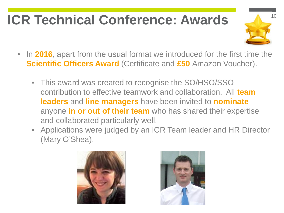### **ICR Technical Conference: Awards**



- In **2016**, apart from the usual format we introduced for the first time the **Scientific Officers Award** (Certificate and **£50** Amazon Voucher).
	- This award was created to recognise the SO/HSO/SSO contribution to effective teamwork and collaboration. All **team leaders** and **line managers** have been invited to **nominate** anyone **in or out of their team** who has shared their expertise and collaborated particularly well.
	- Applications were judged by an ICR Team leader and HR Director (Mary O'Shea).



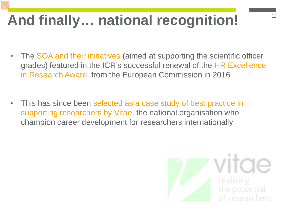## And finally... national recognition!

- The SOA and their initiatives (aimed at supporting the scientific officer grades) featured in the ICR's successful renewal of the HR Excellence in Research Award, from the European Commission in 2016
- This has since been selected as a case study of best practice in supporting researchers by Vitae, the national organisation who champion career development for researchers internationally

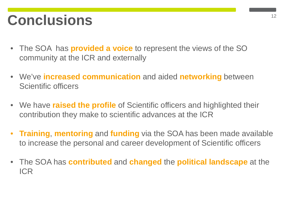#### **Conclusions** <sup>12</sup>

- The SOA has **provided a voice** to represent the views of the SO community at the ICR and externally
- We've **increased communication** and aided **networking** between Scientific officers
- We have **raised the profile** of Scientific officers and highlighted their contribution they make to scientific advances at the ICR
- **Training**, **mentoring** and **funding** via the SOA has been made available to increase the personal and career development of Scientific officers
- The SOA has **contributed** and **changed** the **political landscape** at the ICR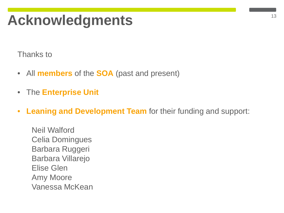#### <sup>13</sup> **Acknowledgments**

Thanks to

- All **members** of the **SOA** (past and present)
- The **Enterprise Unit**
- **Leaning and Development Team** for their funding and support:

Neil Walford Celia Domingues Barbara Ruggeri Barbara Villarejo Elise Glen Amy Moore Vanessa McKean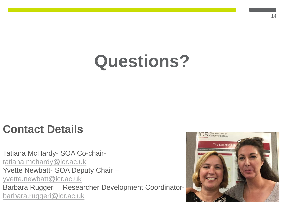## **Questions?**

#### **Contact Details**

Tatiana McHardy- SOA Co-chair[tatiana.mchardy@icr.ac.uk](mailto:atiana.mchardy@icr.ac.uk) Yvette Newbatt- SOA Deputy Chair – [yvette.newbatt@icr.ac.uk](mailto:yvette.newbatt@icr.ac.uk) Barbara Ruggeri – Researcher Development Coordinator[barbara.ruggeri@icr.ac.uk](mailto:barbara.ruggeri@icr.ac.uk)